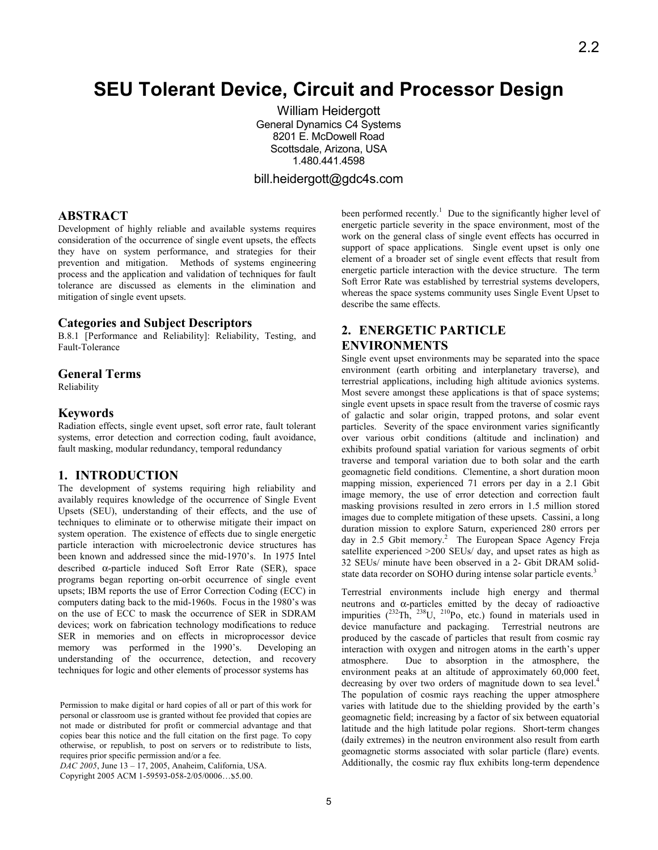# **SEU Tolerant Device, Circuit and Processor Design**

 William Heidergott General Dynamics C4 Systems 8201 E. McDowell Road Scottsdale, Arizona, USA 1.480.441.4598

bill.heidergott@gdc4s.com

## **ABSTRACT**

Development of highly reliable and available systems requires consideration of the occurrence of single event upsets, the effects they have on system performance, and strategies for their prevention and mitigation. Methods of systems engineering process and the application and validation of techniques for fault tolerance are discussed as elements in the elimination and mitigation of single event upsets.

#### **Categories and Subject Descriptors**

B.8.1 [Performance and Reliability]: Reliability, Testing, and Fault-Tolerance

#### **General Terms**

Reliability

#### **Keywords**

Radiation effects, single event upset, soft error rate, fault tolerant systems, error detection and correction coding, fault avoidance, fault masking, modular redundancy, temporal redundancy

## **1. INTRODUCTION**

The development of systems requiring high reliability and availably requires knowledge of the occurrence of Single Event Upsets (SEU), understanding of their effects, and the use of techniques to eliminate or to otherwise mitigate their impact on system operation. The existence of effects due to single energetic particle interaction with microelectronic device structures has been known and addressed since the mid-1970's. In 1975 Intel described α-particle induced Soft Error Rate (SER), space programs began reporting on-orbit occurrence of single event upsets; IBM reports the use of Error Correction Coding (ECC) in computers dating back to the mid-1960s. Focus in the 1980's was on the use of ECC to mask the occurrence of SER in SDRAM devices; work on fabrication technology modifications to reduce SER in memories and on effects in microprocessor device memory was performed in the 1990's. Developing an understanding of the occurrence, detection, and recovery techniques for logic and other elements of processor systems has

*DAC 2005*, June 13 – 17, 2005, Anaheim, California, USA.

Copyright 2005 ACM 1-59593-058-2/05/0006…\$5.00.

been performed recently.<sup>1</sup> Due to the significantly higher level of energetic particle severity in the space environment, most of the work on the general class of single event effects has occurred in support of space applications. Single event upset is only one element of a broader set of single event effects that result from energetic particle interaction with the device structure. The term Soft Error Rate was established by terrestrial systems developers, whereas the space systems community uses Single Event Upset to describe the same effects.

# **2. ENERGETIC PARTICLE ENVIRONMENTS**

Single event upset environments may be separated into the space environment (earth orbiting and interplanetary traverse), and terrestrial applications, including high altitude avionics systems. Most severe amongst these applications is that of space systems; single event upsets in space result from the traverse of cosmic rays of galactic and solar origin, trapped protons, and solar event particles. Severity of the space environment varies significantly over various orbit conditions (altitude and inclination) and exhibits profound spatial variation for various segments of orbit traverse and temporal variation due to both solar and the earth geomagnetic field conditions. Clementine, a short duration moon mapping mission, experienced 71 errors per day in a 2.1 Gbit image memory, the use of error detection and correction fault masking provisions resulted in zero errors in 1.5 million stored images due to complete mitigation of these upsets. Cassini, a long duration mission to explore Saturn, experienced 280 errors per day in 2.5 Gbit memory. 2 The European Space Agency Freja satellite experienced >200 SEUs/ day, and upset rates as high as 32 SEUs/ minute have been observed in a 2- Gbit DRAM solidstate data recorder on SOHO during intense solar particle events.<sup>3</sup>

Terrestrial environments include high energy and thermal neutrons and α-particles emitted by the decay of radioactive impurities  $(^{232}Th, ^{238}U, ^{210}Po,$  etc.) found in materials used in device manufacture and packaging. Terrestrial neutrons are produced by the cascade of particles that result from cosmic ray interaction with oxygen and nitrogen atoms in the earth's upper atmosphere. Due to absorption in the atmosphere, the environment peaks at an altitude of approximately 60,000 feet, decreasing by over two orders of magnitude down to sea level.<sup>4</sup> The population of cosmic rays reaching the upper atmosphere varies with latitude due to the shielding provided by the earth's geomagnetic field; increasing by a factor of six between equatorial latitude and the high latitude polar regions. Short-term changes (daily extremes) in the neutron environment also result from earth geomagnetic storms associated with solar particle (flare) events. Additionally, the cosmic ray flux exhibits long-term dependence

Permission to make digital or hard copies of all or part of this work for personal or classroom use is granted without fee provided that copies are not made or distributed for profit or commercial advantage and that copies bear this notice and the full citation on the first page. To copy otherwise, or republish, to post on servers or to redistribute to lists, requires prior specific permission and/or a fee.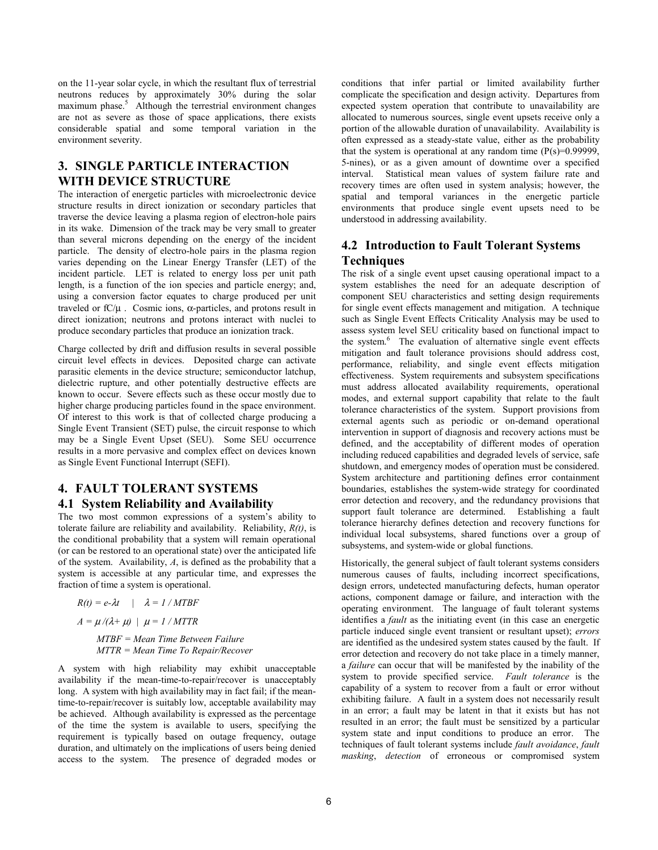on the 11-year solar cycle, in which the resultant flux of terrestrial neutrons reduces by approximately 30% during the solar maximum phase.<sup>5</sup> Although the terrestrial environment changes are not as severe as those of space applications, there exists considerable spatial and some temporal variation in the environment severity.

# **3. SINGLE PARTICLE INTERACTION WITH DEVICE STRUCTURE**

The interaction of energetic particles with microelectronic device structure results in direct ionization or secondary particles that traverse the device leaving a plasma region of electron-hole pairs in its wake. Dimension of the track may be very small to greater than several microns depending on the energy of the incident particle. The density of electro-hole pairs in the plasma region varies depending on the Linear Energy Transfer (LET) of the incident particle. LET is related to energy loss per unit path length, is a function of the ion species and particle energy; and, using a conversion factor equates to charge produced per unit traveled or f $C/\mu$ . Cosmic ions,  $\alpha$ -particles, and protons result in direct ionization; neutrons and protons interact with nuclei to produce secondary particles that produce an ionization track.

Charge collected by drift and diffusion results in several possible circuit level effects in devices. Deposited charge can activate parasitic elements in the device structure; semiconductor latchup, dielectric rupture, and other potentially destructive effects are known to occur. Severe effects such as these occur mostly due to higher charge producing particles found in the space environment. Of interest to this work is that of collected charge producing a Single Event Transient (SET) pulse, the circuit response to which may be a Single Event Upset (SEU). Some SEU occurrence results in a more pervasive and complex effect on devices known as Single Event Functional Interrupt (SEFI).

## **4. FAULT TOLERANT SYSTEMS 4.1 System Reliability and Availability**

The two most common expressions of a system's ability to tolerate failure are reliability and availability. Reliability, *R(t)*, is the conditional probability that a system will remain operational (or can be restored to an operational state) over the anticipated life of the system. Availability, *A*, is defined as the probability that a system is accessible at any particular time, and expresses the fraction of time a system is operational.

$$
R(t) = e - \lambda t \qquad | \qquad \lambda = 1 / MTBF
$$

$$
A = \mu / (\lambda + \mu) \qquad \mu = 1 / MTTR
$$

$$
MTBF = Mean Time Between Failure
$$

$$
MTTR = Mean Time To Repair/Recover
$$

A system with high reliability may exhibit unacceptable availability if the mean-time-to-repair/recover is unacceptably long. A system with high availability may in fact fail; if the meantime-to-repair/recover is suitably low, acceptable availability may be achieved. Although availability is expressed as the percentage of the time the system is available to users, specifying the requirement is typically based on outage frequency, outage duration, and ultimately on the implications of users being denied access to the system. The presence of degraded modes or conditions that infer partial or limited availability further complicate the specification and design activity. Departures from expected system operation that contribute to unavailability are allocated to numerous sources, single event upsets receive only a portion of the allowable duration of unavailability. Availability is often expressed as a steady-state value, either as the probability that the system is operational at any random time  $(P(s)=0.99999)$ , 5-nines), or as a given amount of downtime over a specified interval. Statistical mean values of system failure rate and recovery times are often used in system analysis; however, the spatial and temporal variances in the energetic particle environments that produce single event upsets need to be understood in addressing availability.

# **4.2 Introduction to Fault Tolerant Systems Techniques**

The risk of a single event upset causing operational impact to a system establishes the need for an adequate description of component SEU characteristics and setting design requirements for single event effects management and mitigation. A technique such as Single Event Effects Criticality Analysis may be used to assess system level SEU criticality based on functional impact to the system.<sup>6</sup> The evaluation of alternative single event effects mitigation and fault tolerance provisions should address cost, performance, reliability, and single event effects mitigation effectiveness. System requirements and subsystem specifications must address allocated availability requirements, operational modes, and external support capability that relate to the fault tolerance characteristics of the system. Support provisions from external agents such as periodic or on-demand operational intervention in support of diagnosis and recovery actions must be defined, and the acceptability of different modes of operation including reduced capabilities and degraded levels of service, safe shutdown, and emergency modes of operation must be considered. System architecture and partitioning defines error containment boundaries, establishes the system-wide strategy for coordinated error detection and recovery, and the redundancy provisions that support fault tolerance are determined. Establishing a fault tolerance hierarchy defines detection and recovery functions for individual local subsystems, shared functions over a group of subsystems, and system-wide or global functions.

Historically, the general subject of fault tolerant systems considers numerous causes of faults, including incorrect specifications, design errors, undetected manufacturing defects, human operator actions, component damage or failure, and interaction with the operating environment. The language of fault tolerant systems identifies a *fault* as the initiating event (in this case an energetic particle induced single event transient or resultant upset); *errors* are identified as the undesired system states caused by the fault. If error detection and recovery do not take place in a timely manner, a *failure* can occur that will be manifested by the inability of the system to provide specified service. *Fault tolerance* is the capability of a system to recover from a fault or error without exhibiting failure. A fault in a system does not necessarily result in an error; a fault may be latent in that it exists but has not resulted in an error; the fault must be sensitized by a particular system state and input conditions to produce an error. The techniques of fault tolerant systems include *fault avoidance*, *fault masking*, *detection* of erroneous or compromised system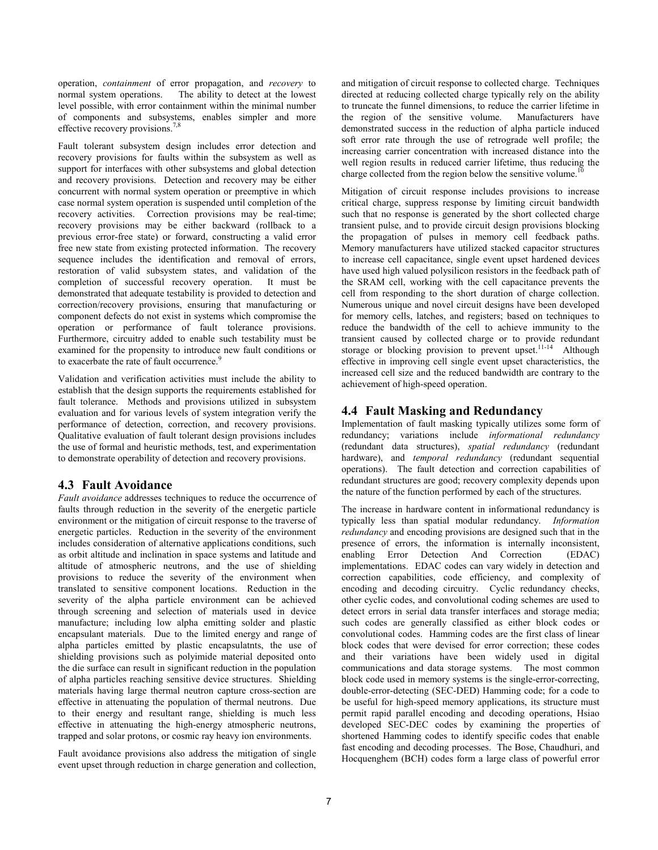operation, *containment* of error propagation, and *recovery* to normal system operations. The ability to detect at the lowest level possible, with error containment within the minimal number of components and subsystems, enables simpler and more effective recovery provisions.<sup>7,8</sup>

Fault tolerant subsystem design includes error detection and recovery provisions for faults within the subsystem as well as support for interfaces with other subsystems and global detection and recovery provisions. Detection and recovery may be either concurrent with normal system operation or preemptive in which case normal system operation is suspended until completion of the recovery activities. Correction provisions may be real-time; recovery provisions may be either backward (rollback to a previous error-free state) or forward, constructing a valid error free new state from existing protected information. The recovery sequence includes the identification and removal of errors, restoration of valid subsystem states, and validation of the completion of successful recovery operation. It must be demonstrated that adequate testability is provided to detection and correction/recovery provisions, ensuring that manufacturing or component defects do not exist in systems which compromise the operation or performance of fault tolerance provisions. Furthermore, circuitry added to enable such testability must be examined for the propensity to introduce new fault conditions or to exacerbate the rate of fault occurrence.<sup>9</sup>

Validation and verification activities must include the ability to establish that the design supports the requirements established for fault tolerance. Methods and provisions utilized in subsystem evaluation and for various levels of system integration verify the performance of detection, correction, and recovery provisions. Qualitative evaluation of fault tolerant design provisions includes the use of formal and heuristic methods, test, and experimentation to demonstrate operability of detection and recovery provisions.

## **4.3 Fault Avoidance**

*Fault avoidance* addresses techniques to reduce the occurrence of faults through reduction in the severity of the energetic particle environment or the mitigation of circuit response to the traverse of energetic particles. Reduction in the severity of the environment includes consideration of alternative applications conditions, such as orbit altitude and inclination in space systems and latitude and altitude of atmospheric neutrons, and the use of shielding provisions to reduce the severity of the environment when translated to sensitive component locations. Reduction in the severity of the alpha particle environment can be achieved through screening and selection of materials used in device manufacture; including low alpha emitting solder and plastic encapsulant materials. Due to the limited energy and range of alpha particles emitted by plastic encapsulatnts, the use of shielding provisions such as polyimide material deposited onto the die surface can result in significant reduction in the population of alpha particles reaching sensitive device structures. Shielding materials having large thermal neutron capture cross-section are effective in attenuating the population of thermal neutrons. Due to their energy and resultant range, shielding is much less effective in attenuating the high-energy atmospheric neutrons, trapped and solar protons, or cosmic ray heavy ion environments.

Fault avoidance provisions also address the mitigation of single event upset through reduction in charge generation and collection,

and mitigation of circuit response to collected charge. Techniques directed at reducing collected charge typically rely on the ability to truncate the funnel dimensions, to reduce the carrier lifetime in the region of the sensitive volume. Manufacturers have demonstrated success in the reduction of alpha particle induced soft error rate through the use of retrograde well profile; the increasing carrier concentration with increased distance into the well region results in reduced carrier lifetime, thus reducing the charge collected from the region below the sensitive volume.<sup>10</sup>

Mitigation of circuit response includes provisions to increase critical charge, suppress response by limiting circuit bandwidth such that no response is generated by the short collected charge transient pulse, and to provide circuit design provisions blocking the propagation of pulses in memory cell feedback paths. Memory manufacturers have utilized stacked capacitor structures to increase cell capacitance, single event upset hardened devices have used high valued polysilicon resistors in the feedback path of the SRAM cell, working with the cell capacitance prevents the cell from responding to the short duration of charge collection. Numerous unique and novel circuit designs have been developed for memory cells, latches, and registers; based on techniques to reduce the bandwidth of the cell to achieve immunity to the transient caused by collected charge or to provide redundant storage or blocking provision to prevent upset.<sup>11-14</sup> Although effective in improving cell single event upset characteristics, the increased cell size and the reduced bandwidth are contrary to the achievement of high-speed operation.

## **4.4 Fault Masking and Redundancy**

Implementation of fault masking typically utilizes some form of redundancy; variations include *informational redundancy* (redundant data structures), *spatial redundancy* (redundant hardware), and *temporal redundancy* (redundant sequential operations). The fault detection and correction capabilities of redundant structures are good; recovery complexity depends upon the nature of the function performed by each of the structures.

The increase in hardware content in informational redundancy is typically less than spatial modular redundancy. *Information redundancy* and encoding provisions are designed such that in the presence of errors, the information is internally inconsistent, enabling Error Detection And Correction (EDAC) implementations. EDAC codes can vary widely in detection and correction capabilities, code efficiency, and complexity of encoding and decoding circuitry. Cyclic redundancy checks, other cyclic codes, and convolutional coding schemes are used to detect errors in serial data transfer interfaces and storage media; such codes are generally classified as either block codes or convolutional codes. Hamming codes are the first class of linear block codes that were devised for error correction; these codes and their variations have been widely used in digital communications and data storage systems. The most common block code used in memory systems is the single-error-correcting, double-error-detecting (SEC-DED) Hamming code; for a code to be useful for high-speed memory applications, its structure must permit rapid parallel encoding and decoding operations, Hsiao developed SEC-DEC codes by examining the properties of shortened Hamming codes to identify specific codes that enable fast encoding and decoding processes. The Bose, Chaudhuri, and Hocquenghem (BCH) codes form a large class of powerful error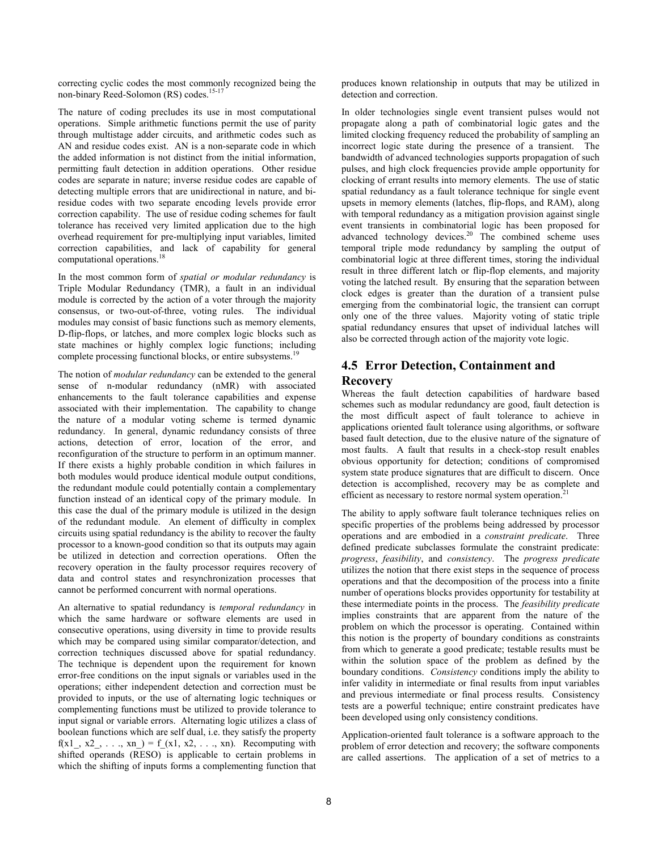correcting cyclic codes the most commonly recognized being the non-binary Reed-Solomon (RS) codes.<sup>15-17</sup>

The nature of coding precludes its use in most computational operations. Simple arithmetic functions permit the use of parity through multistage adder circuits, and arithmetic codes such as AN and residue codes exist. AN is a non-separate code in which the added information is not distinct from the initial information, permitting fault detection in addition operations. Other residue codes are separate in nature; inverse residue codes are capable of detecting multiple errors that are unidirectional in nature, and biresidue codes with two separate encoding levels provide error correction capability. The use of residue coding schemes for fault tolerance has received very limited application due to the high overhead requirement for pre-multiplying input variables, limited correction capabilities, and lack of capability for general computational operations.18

In the most common form of *spatial or modular redundancy* is Triple Modular Redundancy (TMR), a fault in an individual module is corrected by the action of a voter through the majority consensus, or two-out-of-three, voting rules. The individual modules may consist of basic functions such as memory elements, D-flip-flops, or latches, and more complex logic blocks such as state machines or highly complex logic functions; including complete processing functional blocks, or entire subsystems.<sup>19</sup>

The notion of *modular redundancy* can be extended to the general sense of n-modular redundancy (nMR) with associated enhancements to the fault tolerance capabilities and expense associated with their implementation. The capability to change the nature of a modular voting scheme is termed dynamic redundancy. In general, dynamic redundancy consists of three actions, detection of error, location of the error, and reconfiguration of the structure to perform in an optimum manner. If there exists a highly probable condition in which failures in both modules would produce identical module output conditions, the redundant module could potentially contain a complementary function instead of an identical copy of the primary module. In this case the dual of the primary module is utilized in the design of the redundant module. An element of difficulty in complex circuits using spatial redundancy is the ability to recover the faulty processor to a known-good condition so that its outputs may again be utilized in detection and correction operations. Often the recovery operation in the faulty processor requires recovery of data and control states and resynchronization processes that cannot be performed concurrent with normal operations.

An alternative to spatial redundancy is *temporal redundancy* in which the same hardware or software elements are used in consecutive operations, using diversity in time to provide results which may be compared using similar comparator/detection, and correction techniques discussed above for spatial redundancy. The technique is dependent upon the requirement for known error-free conditions on the input signals or variables used in the operations; either independent detection and correction must be provided to inputs, or the use of alternating logic techniques or complementing functions must be utilized to provide tolerance to input signal or variable errors. Alternating logic utilizes a class of boolean functions which are self dual, i.e. they satisfy the property  $f(x_1, x_2, ..., x_n) = f(x_1, x_2, ..., x_n)$ . Recomputing with shifted operands (RESO) is applicable to certain problems in which the shifting of inputs forms a complementing function that

produces known relationship in outputs that may be utilized in detection and correction.

In older technologies single event transient pulses would not propagate along a path of combinatorial logic gates and the limited clocking frequency reduced the probability of sampling an incorrect logic state during the presence of a transient. The bandwidth of advanced technologies supports propagation of such pulses, and high clock frequencies provide ample opportunity for clocking of errant results into memory elements. The use of static spatial redundancy as a fault tolerance technique for single event upsets in memory elements (latches, flip-flops, and RAM), along with temporal redundancy as a mitigation provision against single event transients in combinatorial logic has been proposed for advanced technology devices.<sup>20</sup> The combined scheme uses temporal triple mode redundancy by sampling the output of combinatorial logic at three different times, storing the individual result in three different latch or flip-flop elements, and majority voting the latched result. By ensuring that the separation between clock edges is greater than the duration of a transient pulse emerging from the combinatorial logic, the transient can corrupt only one of the three values. Majority voting of static triple spatial redundancy ensures that upset of individual latches will also be corrected through action of the majority vote logic.

## **4.5 Error Detection, Containment and Recovery**

Whereas the fault detection capabilities of hardware based schemes such as modular redundancy are good, fault detection is the most difficult aspect of fault tolerance to achieve in applications oriented fault tolerance using algorithms, or software based fault detection, due to the elusive nature of the signature of most faults. A fault that results in a check-stop result enables obvious opportunity for detection; conditions of compromised system state produce signatures that are difficult to discern. Once detection is accomplished, recovery may be as complete and efficient as necessary to restore normal system operation.<sup>2</sup>

The ability to apply software fault tolerance techniques relies on specific properties of the problems being addressed by processor operations and are embodied in a *constraint predicate*. Three defined predicate subclasses formulate the constraint predicate: *progress*, *feasibility*, and *consistency*. The *progress predicate* utilizes the notion that there exist steps in the sequence of process operations and that the decomposition of the process into a finite number of operations blocks provides opportunity for testability at these intermediate points in the process. The *feasibility predicate* implies constraints that are apparent from the nature of the problem on which the processor is operating. Contained within this notion is the property of boundary conditions as constraints from which to generate a good predicate; testable results must be within the solution space of the problem as defined by the boundary conditions. *Consistency* conditions imply the ability to infer validity in intermediate or final results from input variables and previous intermediate or final process results. Consistency tests are a powerful technique; entire constraint predicates have been developed using only consistency conditions.

Application-oriented fault tolerance is a software approach to the problem of error detection and recovery; the software components are called assertions. The application of a set of metrics to a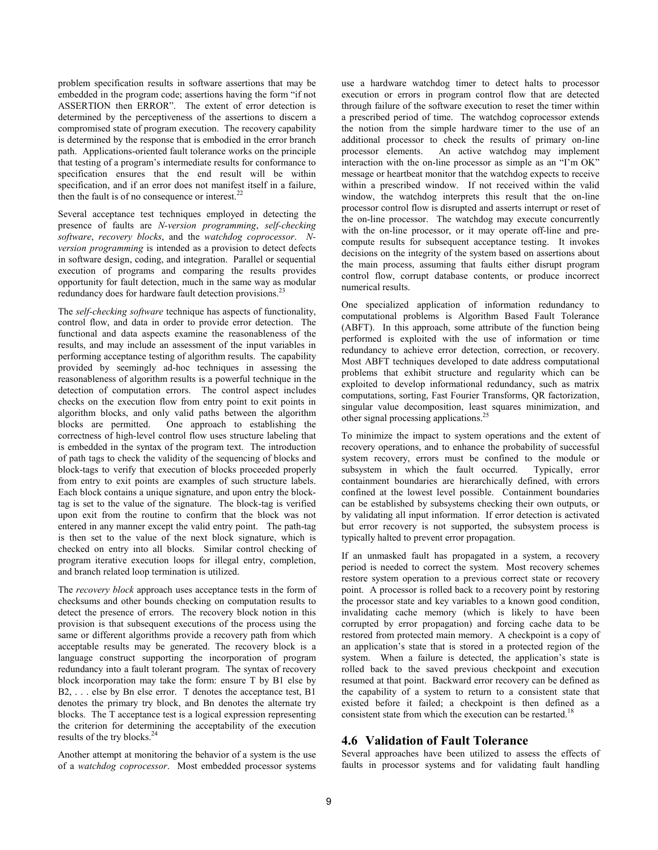problem specification results in software assertions that may be embedded in the program code; assertions having the form "if not ASSERTION then ERROR". The extent of error detection is determined by the perceptiveness of the assertions to discern a compromised state of program execution. The recovery capability is determined by the response that is embodied in the error branch path. Applications-oriented fault tolerance works on the principle that testing of a program's intermediate results for conformance to specification ensures that the end result will be within specification, and if an error does not manifest itself in a failure, then the fault is of no consequence or interest. $^{22}$ 

Several acceptance test techniques employed in detecting the presence of faults are *N-version programming*, *self-checking software*, *recovery blocks*, and the *watchdog coprocessor*. *Nversion programming* is intended as a provision to detect defects in software design, coding, and integration. Parallel or sequential execution of programs and comparing the results provides opportunity for fault detection, much in the same way as modular redundancy does for hardware fault detection provisions.<sup>23</sup>

The *self-checking software* technique has aspects of functionality, control flow, and data in order to provide error detection. The functional and data aspects examine the reasonableness of the results, and may include an assessment of the input variables in performing acceptance testing of algorithm results. The capability provided by seemingly ad-hoc techniques in assessing the reasonableness of algorithm results is a powerful technique in the detection of computation errors. The control aspect includes checks on the execution flow from entry point to exit points in algorithm blocks, and only valid paths between the algorithm blocks are permitted. One approach to establishing the correctness of high-level control flow uses structure labeling that is embedded in the syntax of the program text. The introduction of path tags to check the validity of the sequencing of blocks and block-tags to verify that execution of blocks proceeded properly from entry to exit points are examples of such structure labels. Each block contains a unique signature, and upon entry the blocktag is set to the value of the signature. The block-tag is verified upon exit from the routine to confirm that the block was not entered in any manner except the valid entry point. The path-tag is then set to the value of the next block signature, which is checked on entry into all blocks. Similar control checking of program iterative execution loops for illegal entry, completion, and branch related loop termination is utilized.

The *recovery block* approach uses acceptance tests in the form of checksums and other bounds checking on computation results to detect the presence of errors. The recovery block notion in this provision is that subsequent executions of the process using the same or different algorithms provide a recovery path from which acceptable results may be generated. The recovery block is a language construct supporting the incorporation of program redundancy into a fault tolerant program. The syntax of recovery block incorporation may take the form: ensure T by B1 else by B<sub>2</sub>, ... else by Bn else error. T denotes the acceptance test, B<sub>1</sub> denotes the primary try block, and Bn denotes the alternate try blocks. The T acceptance test is a logical expression representing the criterion for determining the acceptability of the execution results of the try blocks.<sup>24</sup>

Another attempt at monitoring the behavior of a system is the use of a *watchdog coprocessor*. Most embedded processor systems

use a hardware watchdog timer to detect halts to processor execution or errors in program control flow that are detected through failure of the software execution to reset the timer within a prescribed period of time. The watchdog coprocessor extends the notion from the simple hardware timer to the use of an additional processor to check the results of primary on-line processor elements. An active watchdog may implement interaction with the on-line processor as simple as an "I'm OK" message or heartbeat monitor that the watchdog expects to receive within a prescribed window. If not received within the valid window, the watchdog interprets this result that the on-line processor control flow is disrupted and asserts interrupt or reset of the on-line processor. The watchdog may execute concurrently with the on-line processor, or it may operate off-line and precompute results for subsequent acceptance testing. It invokes decisions on the integrity of the system based on assertions about the main process, assuming that faults either disrupt program control flow, corrupt database contents, or produce incorrect numerical results.

One specialized application of information redundancy to computational problems is Algorithm Based Fault Tolerance (ABFT). In this approach, some attribute of the function being performed is exploited with the use of information or time redundancy to achieve error detection, correction, or recovery. Most ABFT techniques developed to date address computational problems that exhibit structure and regularity which can be exploited to develop informational redundancy, such as matrix computations, sorting, Fast Fourier Transforms, QR factorization, singular value decomposition, least squares minimization, and other signal processing applications.<sup>25</sup>

To minimize the impact to system operations and the extent of recovery operations, and to enhance the probability of successful system recovery, errors must be confined to the module or subsystem in which the fault occurred. Typically, error containment boundaries are hierarchically defined, with errors confined at the lowest level possible. Containment boundaries can be established by subsystems checking their own outputs, or by validating all input information. If error detection is activated but error recovery is not supported, the subsystem process is typically halted to prevent error propagation.

If an unmasked fault has propagated in a system, a recovery period is needed to correct the system. Most recovery schemes restore system operation to a previous correct state or recovery point. A processor is rolled back to a recovery point by restoring the processor state and key variables to a known good condition, invalidating cache memory (which is likely to have been corrupted by error propagation) and forcing cache data to be restored from protected main memory. A checkpoint is a copy of an application's state that is stored in a protected region of the system. When a failure is detected, the application's state is rolled back to the saved previous checkpoint and execution resumed at that point. Backward error recovery can be defined as the capability of a system to return to a consistent state that existed before it failed; a checkpoint is then defined as a consistent state from which the execution can be restarted.<sup>18</sup>

## **4.6 Validation of Fault Tolerance**

Several approaches have been utilized to assess the effects of faults in processor systems and for validating fault handling